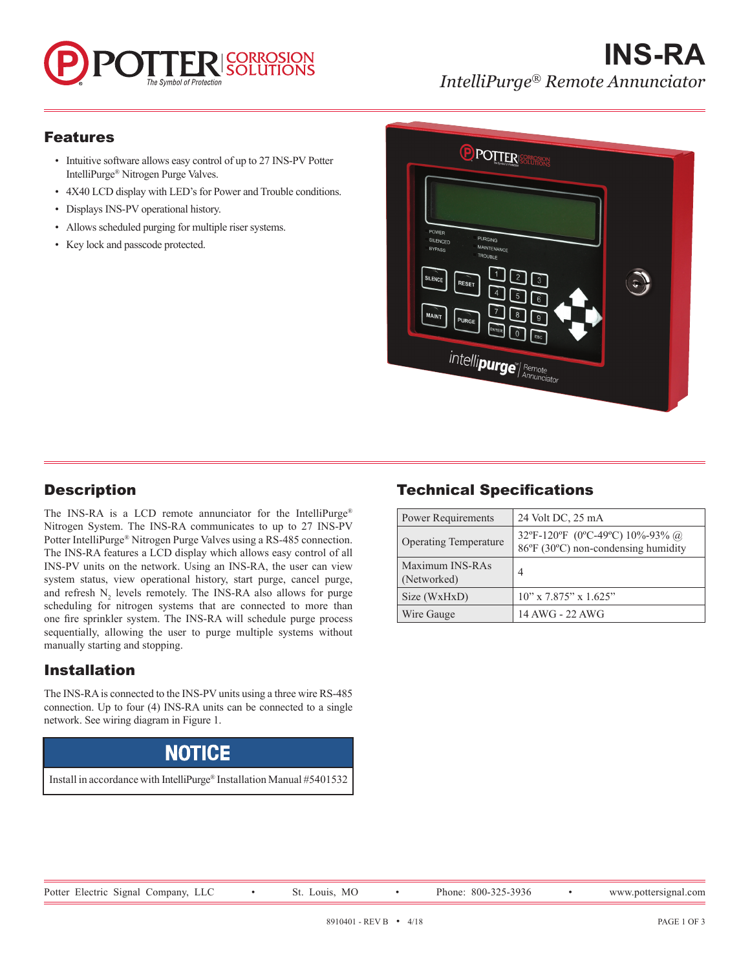# DRROSION The Symbol of Protection

## **INS-RA** *IntelliPurge® Remote Annunciator*

### Features

- Intuitive software allows easy control of up to 27 INS-PV Potter IntelliPurge® Nitrogen Purge Valves.
- 4X40 LCD display with LED's for Power and Trouble conditions.
- Displays INS-PV operational history.
- Allows scheduled purging for multiple riser systems.
- Key lock and passcode protected.



## **Description**

The INS-RA is a LCD remote annunciator for the IntelliPurge® Nitrogen System. The INS-RA communicates to up to 27 INS-PV Potter IntelliPurge® Nitrogen Purge Valves using a RS-485 connection. The INS-RA features a LCD display which allows easy control of all INS-PV units on the network. Using an INS-RA, the user can view system status, view operational history, start purge, cancel purge, and refresh  $N_2$  levels remotely. The INS-RA also allows for purge scheduling for nitrogen systems that are connected to more than one fire sprinkler system. The INS-RA will schedule purge process sequentially, allowing the user to purge multiple systems without manually starting and stopping.

### Installation

The INS-RA is connected to the INS-PV units using a three wire RS-485 connection. Up to four (4) INS-RA units can be connected to a single network. See wiring diagram in Figure 1.

## **NOTICE**

Install in accordance with IntelliPurge® Installation Manual #5401532

### Technical Specifications

| <b>Power Requirements</b>      | 24 Volt DC, 25 mA                                                      |
|--------------------------------|------------------------------------------------------------------------|
| <b>Operating Temperature</b>   | 32°F-120°F (0°C-49°C) 10%-93% @<br>86°F (30°C) non-condensing humidity |
| Maximum INS-RAs<br>(Networked) | 4                                                                      |
| Size (WxHxD)                   | $10$ " x 7.875" x 1.625"                                               |
| Wire Gauge                     | 14 AWG - 22 AWG                                                        |

Potter Electric Signal Company, LLC • St. Louis, MO • Phone: 800-325-3936 • www.pottersignal.com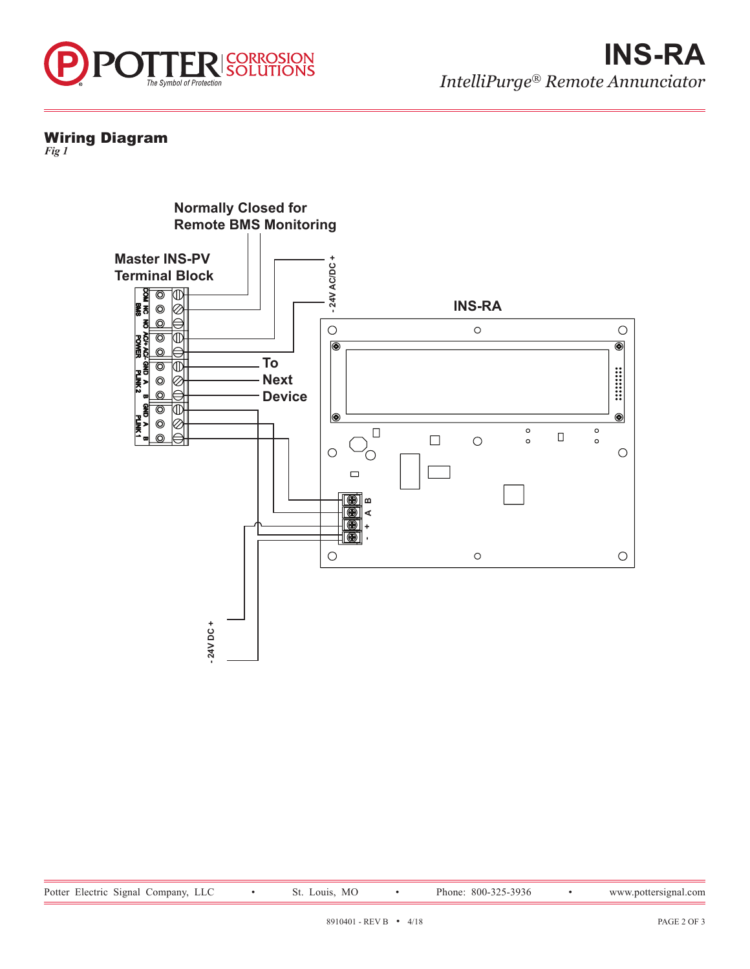

#### Wiring Diagram

*Fig 1*